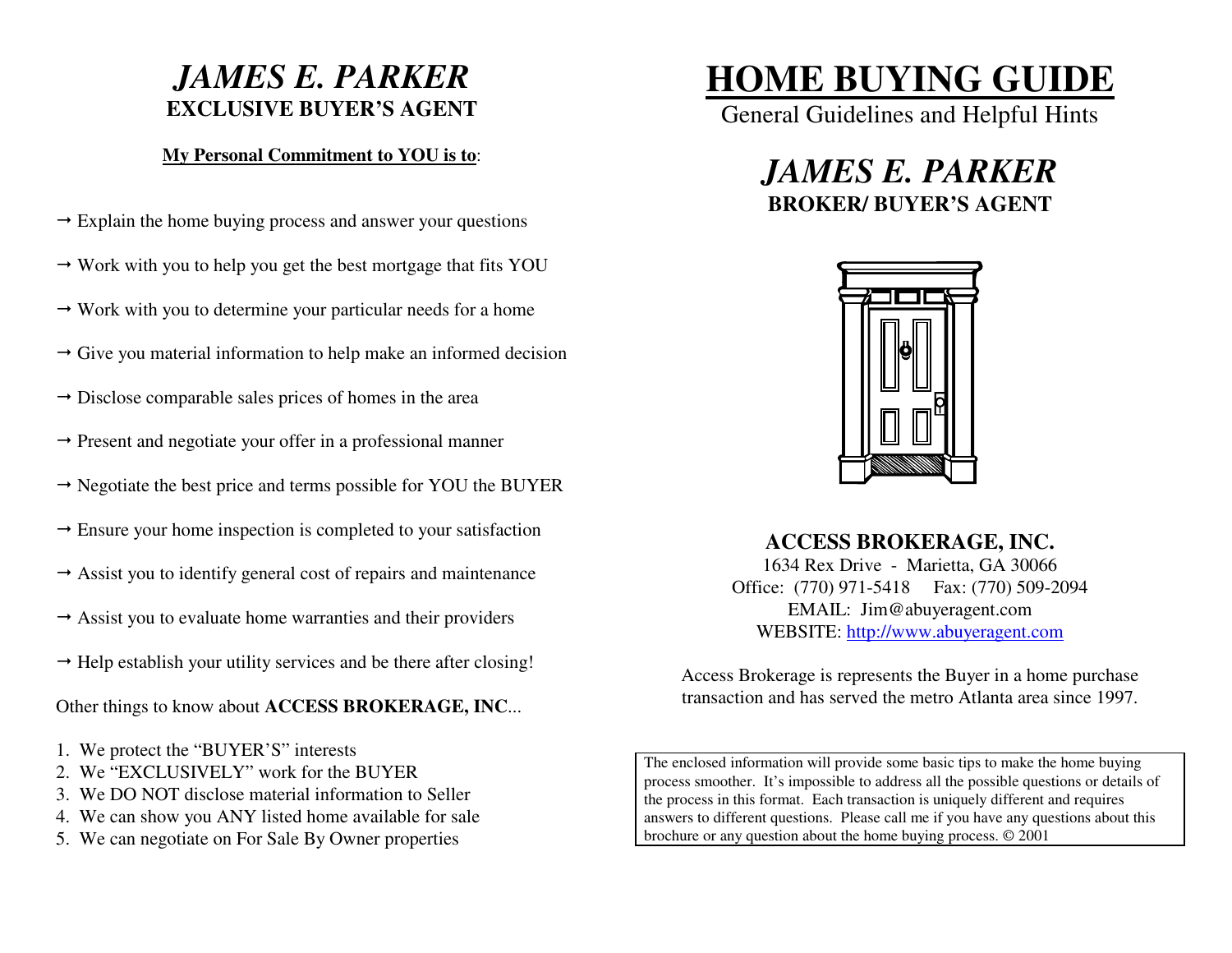# *JAMES E. PARKER***EXCLUSIVE BUYER'S AGENT**

# **My Personal Commitment to YOU is to**:

- $\rightarrow$  Explain the home buying process and answer your questions
- $\rightarrow$  Work with you to help you get the best mortgage that fits YOU
- $\rightarrow$  Work with you to determine your particular needs for a home
- $\rightarrow$  Give you material information to help make an informed decision
- $\rightarrow$  Disclose comparable sales prices of homes in the area
- $\rightarrow$  Present and negotiate your offer in a professional manner
- $\rightarrow$  Negotiate the best price and terms possible for YOU the BUYER
- $\rightarrow$  Ensure your home inspection is completed to your satisfaction
- $\rightarrow$  Assist you to identify general cost of repairs and maintenance
- $\rightarrow$  Assist you to evaluate home warranties and their providers
- $\rightarrow$  Help establish your utility services and be there after closing!

Other things to know about **ACCESS BROKERAGE, INC**...

- 1. We protect the "BUYER'S" interests
- 2. We "EXCLUSIVELY" work for the BUYER
- 3. We DO NOT disclose material information to Seller
- 4. We can show you ANY listed home available for sale
- 5. We can negotiate on For Sale By Owner properties

# **HOME BUYING GUIDE**

General Guidelines and Helpful Hints

# *JAMES E. PARKER***BROKER/ BUYER'S AGENT**



**ACCESS BROKERAGE, INC.**  1634 Rex Drive - Marietta, GA 30066 Office: (770) 971-5418 Fax: (770) 509-2094 EMAIL: Jim@abuyeragent.com WEBSITE: http://www.abuyeragent.com

Access Brokerage is represents the Buyer in a home purchase transaction and has served the metro Atlanta area since 1997.

The enclosed information will provide some basic tips to make the home buying process smoother. It's impossible to address all the possible questions or details of the process in this format. Each transaction is uniquely different and requires answers to different questions. Please call me if you have any questions about this brochure or any question about the home buying process. © 2001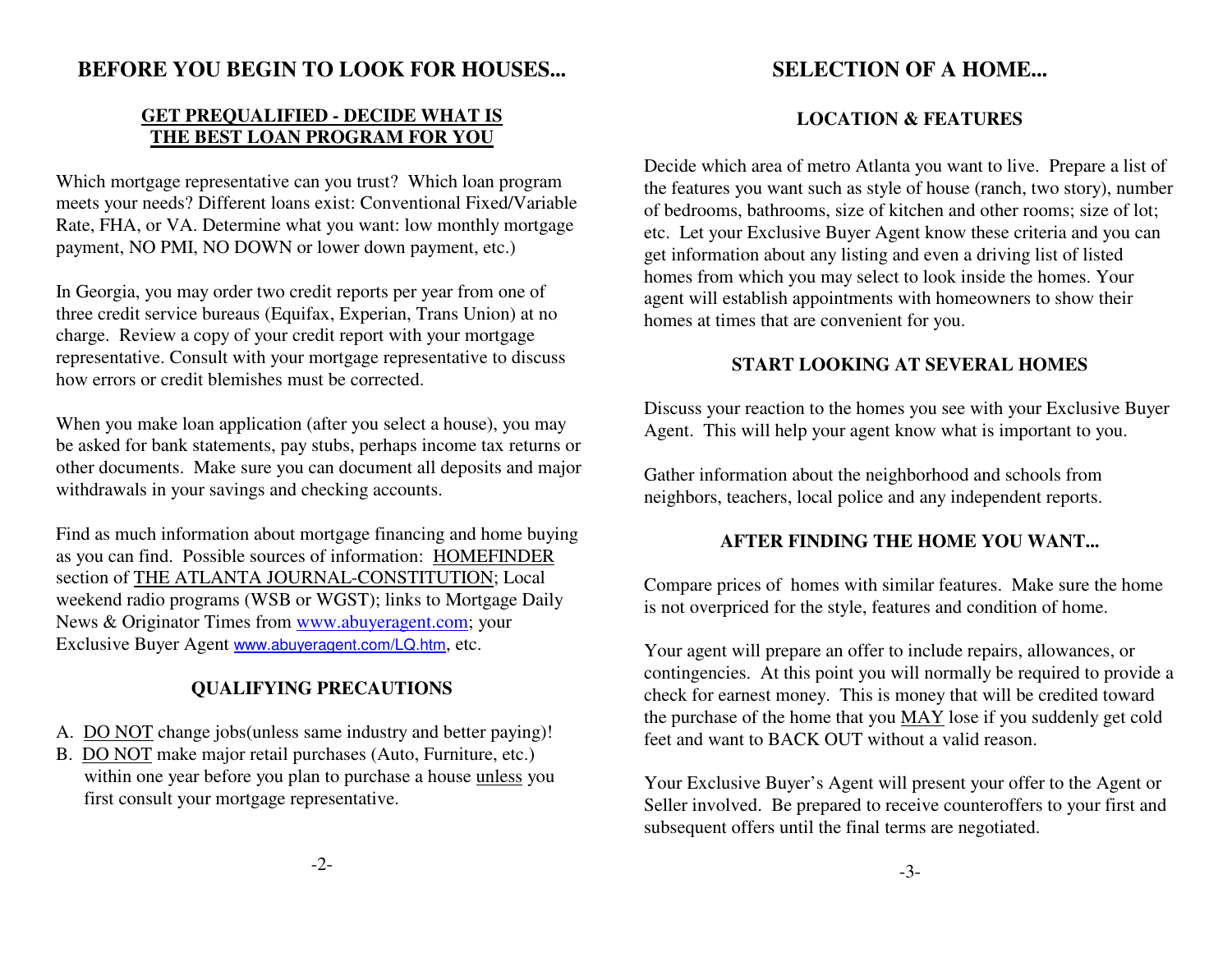# **BEFORE YOU BEGIN TO LOOK FOR HOUSES...**

# **GET PREQUALIFIED - DECIDE WHAT ISTHE BEST LOAN PROGRAM FOR YOU**

Which mortgage representative can you trust? Which loan program meets your needs? Different loans exist: Conventional Fixed/Variable Rate, FHA, or VA. Determine what you want: low monthly mortgage payment, NO PMI, NO DOWN or lower down payment, etc.)

In Georgia, you may order two credit reports per year from one of three credit service bureaus (Equifax, Experian, Trans Union) at no charge. Review a copy of your credit report with your mortgage representative. Consult with your mortgage representative to discuss how errors or credit blemishes must be corrected.

When you make loan application (after you select a house), you may be asked for bank statements, pay stubs, perhaps income tax returns or other documents. Make sure you can document all deposits and major withdrawals in your savings and checking accounts.

Find as much information about mortgage financing and home buying as you can find. Possible sources of information: HOMEFINDER section of THE ATLANTA JOURNAL-CONSTITUTION; Local weekend radio programs (WSB or WGST); links to Mortgage Daily News & Originator Times from www.abuyeragent.com; your Exclusive Buyer Agent www.abuyeragent.com/LQ.htm, etc.

# **QUALIFYING PRECAUTIONS**

- A. DO NOT change jobs(unless same industry and better paying)!
- B. DO NOT make major retail purchases (Auto, Furniture, etc.) within one year before you plan to purchase a house unless you first consult your mortgage representative.

# **SELECTION OF A HOME...**

# **LOCATION & FEATURES**

Decide which area of metro Atlanta you want to live. Prepare a list of the features you want such as style of house (ranch, two story), number of bedrooms, bathrooms, size of kitchen and other rooms; size of lot; etc. Let your Exclusive Buyer Agent know these criteria and you can get information about any listing and even a driving list of listed homes from which you may select to look inside the homes. Your agent will establish appointments with homeowners to show their homes at times that are convenient for you.

## **START LOOKING AT SEVERAL HOMES**

Discuss your reaction to the homes you see with your Exclusive Buyer Agent. This will help your agent know what is important to you.

Gather information about the neighborhood and schools from neighbors, teachers, local police and any independent reports.

### **AFTER FINDING THE HOME YOU WANT...**

Compare prices of homes with similar features. Make sure the home is not overpriced for the style, features and condition of home.

Your agent will prepare an offer to include repairs, allowances, or contingencies. At this point you will normally be required to provide a check for earnest money. This is money that will be credited toward the purchase of the home that you MAY lose if you suddenly get cold feet and want to BACK OUT without a valid reason.

Your Exclusive Buyer's Agent will present your offer to the Agent or Seller involved. Be prepared to receive counteroffers to your first and subsequent offers until the final terms are negotiated.